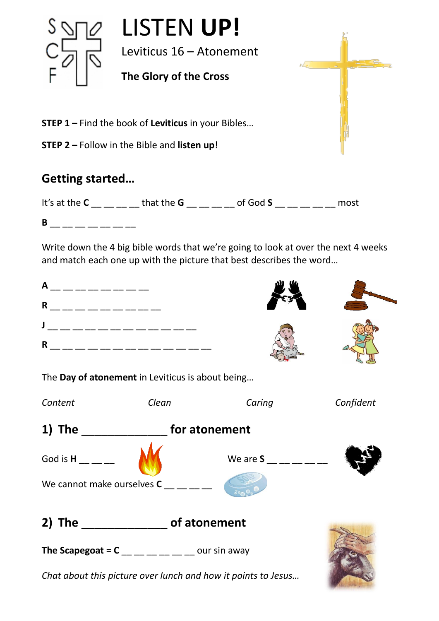